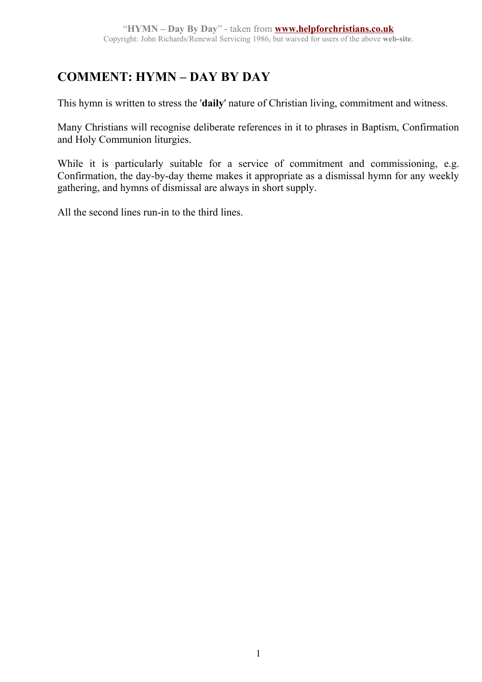## **COMMENT: HYMN – DAY BY DAY**

This hymn is written to stress the '**daily**' nature of Christian living, commitment and witness.

Many Christians will recognise deliberate references in it to phrases in Baptism, Confirmation and Holy Communion liturgies.

While it is particularly suitable for a service of commitment and commissioning, e.g. Confirmation, the day-by-day theme makes it appropriate as a dismissal hymn for any weekly gathering, and hymns of dismissal are always in short supply.

All the second lines run-in to the third lines.